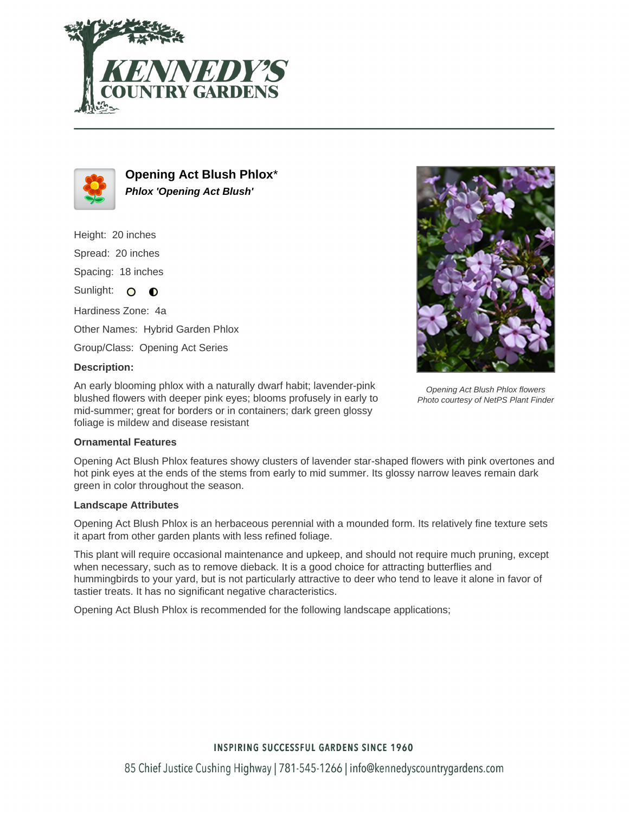



**Opening Act Blush Phlox**\* **Phlox 'Opening Act Blush'**

Height: 20 inches Spread: 20 inches Spacing: 18 inches Sunlight: O O Hardiness Zone: 4a Other Names: Hybrid Garden Phlox

Group/Class: Opening Act Series

## **Description:**

An early blooming phlox with a naturally dwarf habit; lavender-pink blushed flowers with deeper pink eyes; blooms profusely in early to mid-summer; great for borders or in containers; dark green glossy foliage is mildew and disease resistant

#### **Ornamental Features**

Opening Act Blush Phlox features showy clusters of lavender star-shaped flowers with pink overtones and hot pink eyes at the ends of the stems from early to mid summer. Its glossy narrow leaves remain dark green in color throughout the season.

#### **Landscape Attributes**

Opening Act Blush Phlox is an herbaceous perennial with a mounded form. Its relatively fine texture sets it apart from other garden plants with less refined foliage.

This plant will require occasional maintenance and upkeep, and should not require much pruning, except when necessary, such as to remove dieback. It is a good choice for attracting butterflies and hummingbirds to your yard, but is not particularly attractive to deer who tend to leave it alone in favor of tastier treats. It has no significant negative characteristics.

Opening Act Blush Phlox is recommended for the following landscape applications;



Opening Act Blush Phlox flowers Photo courtesy of NetPS Plant Finder

# **INSPIRING SUCCESSFUL GARDENS SINCE 1960**

85 Chief Justice Cushing Highway | 781-545-1266 | info@kennedyscountrygardens.com